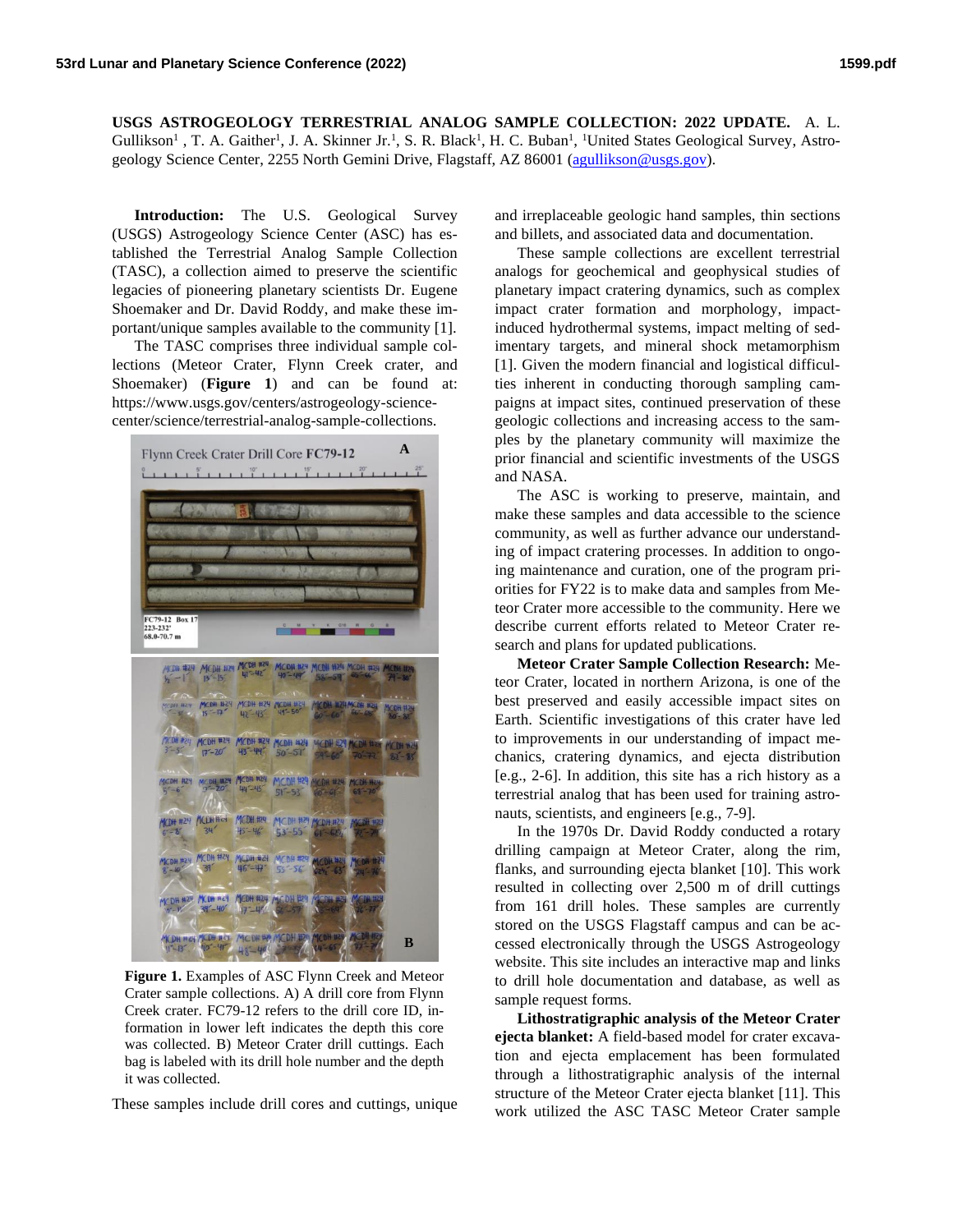**USGS ASTROGEOLOGY TERRESTRIAL ANALOG SAMPLE COLLECTION: 2022 UPDATE.** A. L. Gullikson<sup>1</sup>, T. A. Gaither<sup>1</sup>, J. A. Skinner Jr.<sup>1</sup>, S. R. Black<sup>1</sup>, H. C. Buban<sup>1</sup>, <sup>1</sup>United States Geological Survey, Astrogeology Science Center, 2255 North Gemini Drive, Flagstaff, AZ 86001 [\(agullikson@usgs.gov\)](mailto:agullikson@usgs.gov).

**Introduction:** The U.S. Geological Survey (USGS) Astrogeology Science Center (ASC) has established the Terrestrial Analog Sample Collection (TASC), a collection aimed to preserve the scientific legacies of pioneering planetary scientists Dr. Eugene Shoemaker and Dr. David Roddy, and make these important/unique samples available to the community [1].

The TASC comprises three individual sample collections (Meteor Crater, Flynn Creek crater, and Shoemaker) (**Figure 1**) and can be found at: https://www.usgs.gov/centers/astrogeology-sciencecenter/science/terrestrial-analog-sample-collections.



**Figure 1.** Examples of ASC Flynn Creek and Meteor Crater sample collections. A) A drill core from Flynn Creek crater. FC79-12 refers to the drill core ID, information in lower left indicates the depth this core was collected. B) Meteor Crater drill cuttings. Each bag is labeled with its drill hole number and the depth it was collected.

These samples include drill cores and cuttings, unique

and irreplaceable geologic hand samples, thin sections and billets, and associated data and documentation.

These sample collections are excellent terrestrial analogs for geochemical and geophysical studies of planetary impact cratering dynamics, such as complex impact crater formation and morphology, impactinduced hydrothermal systems, impact melting of sedimentary targets, and mineral shock metamorphism [1]. Given the modern financial and logistical difficulties inherent in conducting thorough sampling campaigns at impact sites, continued preservation of these geologic collections and increasing access to the samples by the planetary community will maximize the prior financial and scientific investments of the USGS and NASA.

The ASC is working to preserve, maintain, and make these samples and data accessible to the science community, as well as further advance our understanding of impact cratering processes. In addition to ongoing maintenance and curation, one of the program priorities for FY22 is to make data and samples from Meteor Crater more accessible to the community. Here we describe current efforts related to Meteor Crater research and plans for updated publications.

**Meteor Crater Sample Collection Research:** Meteor Crater, located in northern Arizona, is one of the best preserved and easily accessible impact sites on Earth. Scientific investigations of this crater have led to improvements in our understanding of impact mechanics, cratering dynamics, and ejecta distribution [e.g., 2-6]. In addition, this site has a rich history as a terrestrial analog that has been used for training astronauts, scientists, and engineers [e.g., 7-9].

In the 1970s Dr. David Roddy conducted a rotary drilling campaign at Meteor Crater, along the rim, flanks, and surrounding ejecta blanket [10]. This work resulted in collecting over 2,500 m of drill cuttings from 161 drill holes. These samples are currently stored on the USGS Flagstaff campus and can be accessed electronically through the USGS Astrogeology website. This site includes an interactive map and links to drill hole documentation and database, as well as sample request forms.

**Lithostratigraphic analysis of the Meteor Crater ejecta blanket:** A field-based model for crater excavation and ejecta emplacement has been formulated through a lithostratigraphic analysis of the internal structure of the Meteor Crater ejecta blanket [11]. This work utilized the ASC TASC Meteor Crater sample